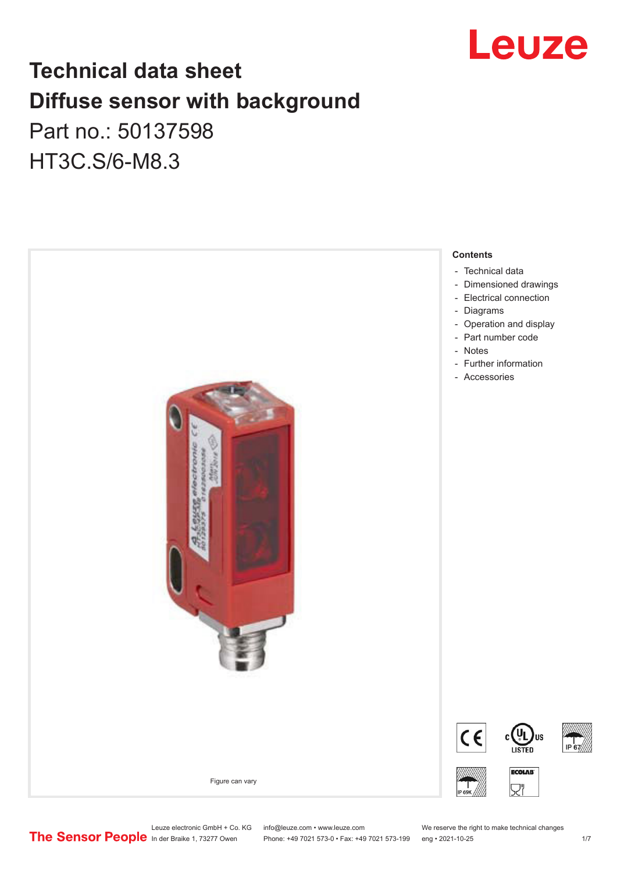

# **Technical data sheet Diffuse sensor with background**

Part no.: 50137598 HT3C.S/6-M8.3



Leuze electronic GmbH + Co. KG info@leuze.com • www.leuze.com We reserve the right to make technical changes<br>
The Sensor People in der Braike 1, 73277 Owen Phone: +49 7021 573-0 • Fax: +49 7021 573-199 eng • 2021-10-25

Phone: +49 7021 573-0 • Fax: +49 7021 573-199 eng • 2021-10-25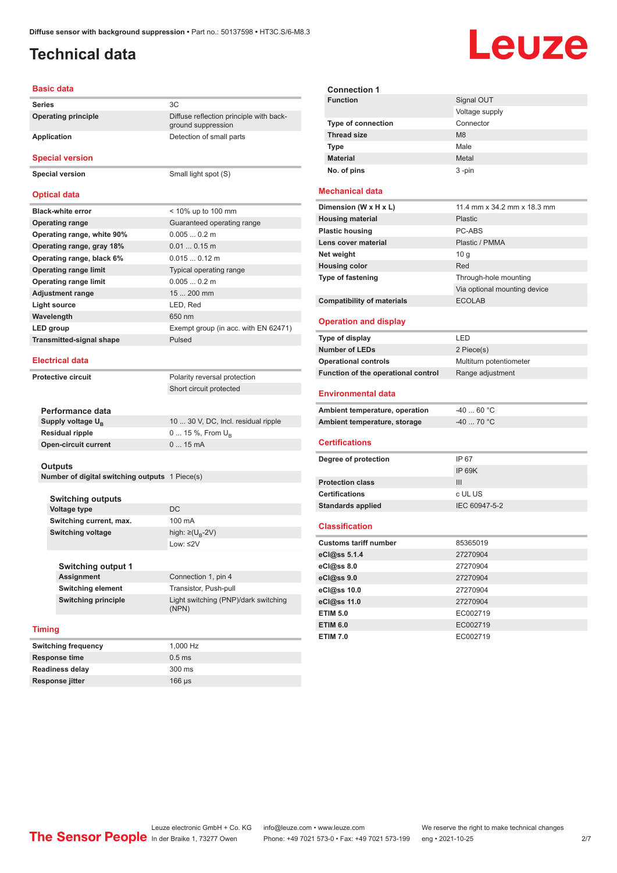## <span id="page-1-0"></span>**Technical data**

# Leuze

| <b>Basic data</b>                              |                                                               |                |
|------------------------------------------------|---------------------------------------------------------------|----------------|
| <b>Series</b>                                  | 3C                                                            |                |
| <b>Operating principle</b>                     | Diffuse reflection principle with back-<br>ground suppression |                |
| <b>Application</b>                             | Detection of small parts                                      |                |
| <b>Special version</b>                         |                                                               |                |
| <b>Special version</b>                         | Small light spot (S)                                          |                |
| <b>Optical data</b>                            |                                                               | М              |
| <b>Black-white error</b>                       | < 10% up to 100 mm                                            | Di             |
| <b>Operating range</b>                         | Guaranteed operating range                                    | н              |
| Operating range, white 90%                     | $0.0050.2$ m                                                  | PI             |
| Operating range, gray 18%                      | $0.010.15$ m                                                  | L6             |
| Operating range, black 6%                      | $0.0150.12$ m                                                 | N              |
| <b>Operating range limit</b>                   | Typical operating range                                       | н              |
| <b>Operating range limit</b>                   | $0.0050.2$ m                                                  | T)             |
| <b>Adjustment range</b>                        | 15  200 mm                                                    |                |
| Light source                                   | LED, Red                                                      | C              |
| Wavelength                                     | 650 nm                                                        | О              |
| LED group                                      | Exempt group (in acc. with EN 62471)                          |                |
| <b>Transmitted-signal shape</b>                | Pulsed                                                        | T)             |
| <b>Electrical data</b>                         |                                                               | N<br>о         |
| <b>Protective circuit</b>                      | Polarity reversal protection                                  | Fι             |
|                                                | Short circuit protected                                       | Е              |
| Performance data                               |                                                               | A۱             |
| Supply voltage U <sub>B</sub>                  | 10  30 V, DC, Incl. residual ripple                           | A              |
| <b>Residual ripple</b>                         | 0  15 %, From $U_{\rm B}$                                     |                |
| <b>Open-circuit current</b>                    | 015mA                                                         | С              |
| Outputs                                        |                                                               | D)             |
| Number of digital switching outputs 1 Piece(s) |                                                               |                |
|                                                |                                                               | P <sub>1</sub> |
| <b>Switching outputs</b>                       |                                                               | C۱             |
| <b>Voltage type</b>                            | DC                                                            | S <sub>1</sub> |
| Switching current, max.                        | 100 mA                                                        | C              |
| <b>Switching voltage</b>                       | high: ≥( $U_B$ -2V)                                           |                |
|                                                | Low: $\leq 2V$                                                | Сı             |
|                                                |                                                               | e(             |
| <b>Switching output 1</b>                      |                                                               | e(             |
| <b>Assignment</b>                              | Connection 1, pin 4                                           | e(             |
| <b>Switching element</b>                       | Transistor, Push-pull                                         | e(             |
|                                                |                                                               |                |
| <b>Switching principle</b>                     | Light switching (PNP)/dark switching<br>(NPN)                 | e(<br>E,       |

### **Timing**

| <b>Switching frequency</b> | 1.000 Hz         |
|----------------------------|------------------|
| Response time              | $0.5$ ms         |
| <b>Readiness delay</b>     | $300 \text{ ms}$ |
| Response jitter            | $166 \mu s$      |

| <b>Connection 1</b>       |                |
|---------------------------|----------------|
| <b>Function</b>           | Signal OUT     |
|                           | Voltage supply |
| <b>Type of connection</b> | Connector      |
| <b>Thread size</b>        | M8             |
| <b>Type</b>               | Male           |
| <b>Material</b>           | Metal          |
| No. of pins               | $3 - pin$      |

#### **Mechanical data**

| Dimension (W x H x L)             | 11.4 mm x 34.2 mm x 18.3 mm  |
|-----------------------------------|------------------------------|
| <b>Housing material</b>           | Plastic                      |
| <b>Plastic housing</b>            | PC-ABS                       |
| Lens cover material               | Plastic / PMMA               |
| Net weight                        | 10q                          |
| <b>Housing color</b>              | Red                          |
| <b>Type of fastening</b>          | Through-hole mounting        |
|                                   | Via optional mounting device |
| <b>Compatibility of materials</b> | <b>ECOLAB</b>                |

#### **Operation and display**

| Type of display                     | I FD                    |
|-------------------------------------|-------------------------|
| <b>Number of LEDs</b>               | 2 Piece(s)              |
| <b>Operational controls</b>         | Multiturn potentiometer |
| Function of the operational control | Range adjustment        |

#### **Environmental data**

| Ambient temperature, operation | -40  60 °C |
|--------------------------------|------------|
| Ambient temperature, storage   | -40  70 °C |

#### **Certifications**

| Degree of protection     | IP 67         |
|--------------------------|---------------|
|                          | IP 69K        |
| <b>Protection class</b>  | Ш             |
| <b>Certifications</b>    | c UL US       |
| <b>Standards applied</b> | IEC 60947-5-2 |
|                          |               |

#### **Classification**

| <b>Customs tariff number</b> | 85365019 |
|------------------------------|----------|
| eCl@ss 5.1.4                 | 27270904 |
| eC <sub>1</sub> @ss 8.0      | 27270904 |
| eCl@ss 9.0                   | 27270904 |
| eCl@ss 10.0                  | 27270904 |
| eCl@ss 11.0                  | 27270904 |
| <b>ETIM 5.0</b>              | EC002719 |
| <b>ETIM 6.0</b>              | EC002719 |
| <b>ETIM 7.0</b>              | EC002719 |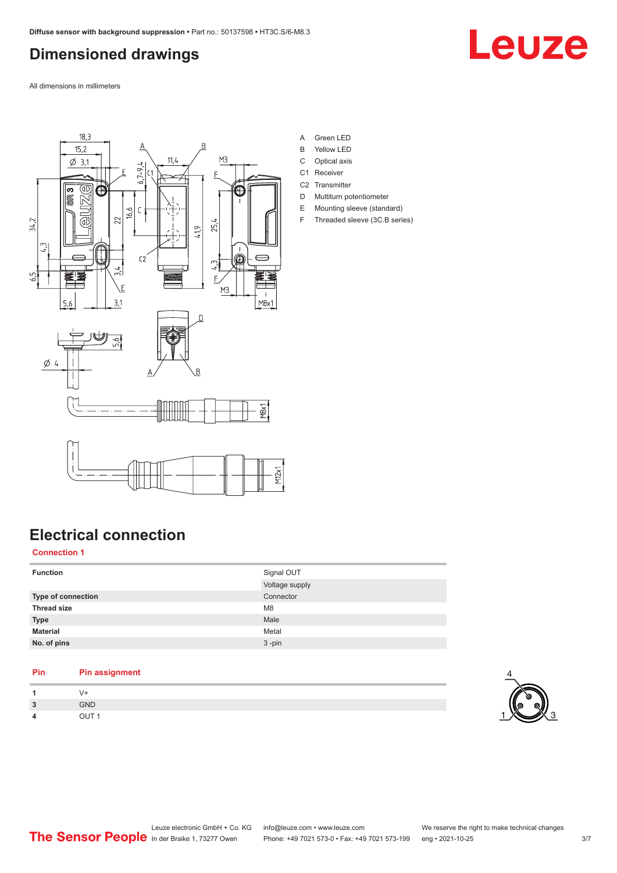# <span id="page-2-0"></span>**Dimensioned drawings**

Leuze

All dimensions in millimeters



- A Green LED
- B Yellow LED
- C Optical axis
- C1 Receiver
- C<sub>2</sub> Transmitter
- D Multiturn potentiometer E Mounting sleeve (standard)
- F Threaded sleeve (3C.B series)

# **Electrical connection**

## **Connection 1**

| <b>Function</b>           | Signal OUT<br>Voltage supply |
|---------------------------|------------------------------|
|                           |                              |
| <b>Type of connection</b> | Connector                    |
| <b>Thread size</b>        | M <sub>8</sub>               |
|                           |                              |
| <b>Type</b>               | Male                         |
| <b>Material</b>           | Metal                        |
|                           |                              |
| No. of pins               | $3 - pin$                    |

### **Pin Pin assignment**

| 1              |            |
|----------------|------------|
| $\overline{3}$ | <b>GND</b> |
| $\overline{a}$ | $\cdots$   |

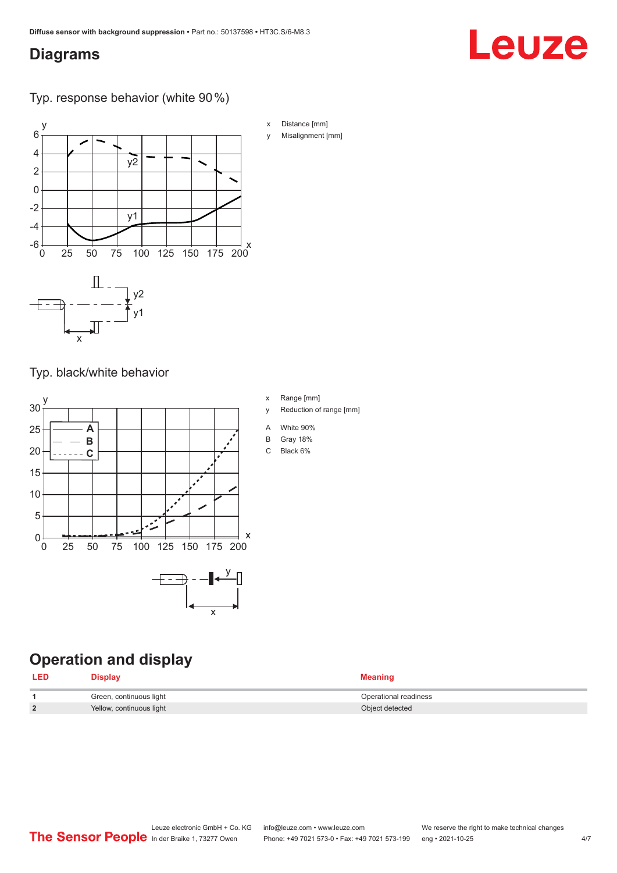## <span id="page-3-0"></span>**Diagrams**

# Leuze

Typ. response behavior (white 90 %)



Typ. black/white behavior



# **Operation and display**

| <b>LED</b>    | Display                  | <b>Meaning</b>        |
|---------------|--------------------------|-----------------------|
|               | Green, continuous light  | Operational readiness |
| $\mathcal{D}$ | Yellow, continuous light | Object detected       |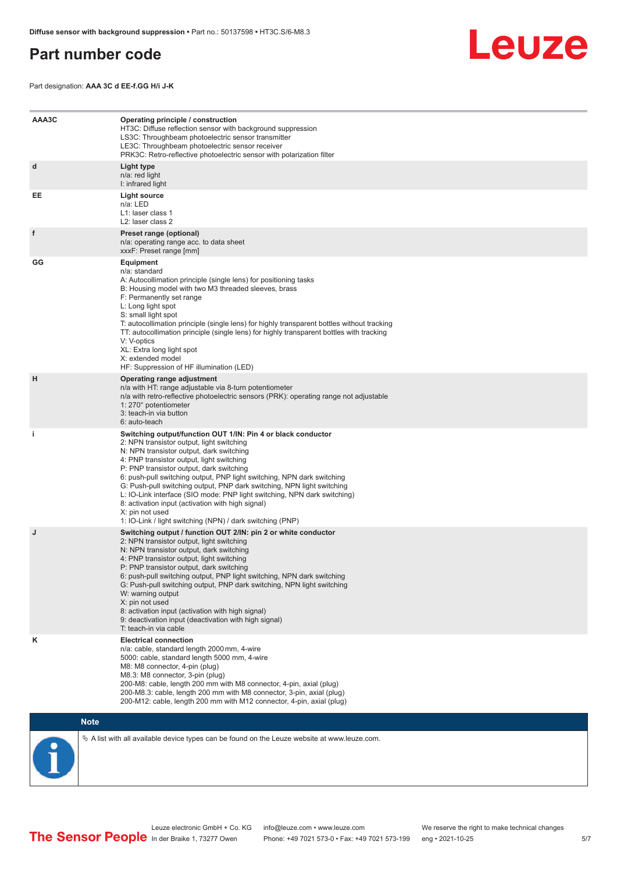## <span id="page-4-0"></span>**Part number code**



Part designation: **AAA 3C d EE-f.GG H/i J-K**

| AAA3C | Operating principle / construction<br>HT3C: Diffuse reflection sensor with background suppression<br>LS3C: Throughbeam photoelectric sensor transmitter<br>LE3C: Throughbeam photoelectric sensor receiver<br>PRK3C: Retro-reflective photoelectric sensor with polarization filter                                                                                                                                                                                                                                                                                                                                 |
|-------|---------------------------------------------------------------------------------------------------------------------------------------------------------------------------------------------------------------------------------------------------------------------------------------------------------------------------------------------------------------------------------------------------------------------------------------------------------------------------------------------------------------------------------------------------------------------------------------------------------------------|
| d     | Light type<br>n/a: red light<br>I: infrared light                                                                                                                                                                                                                                                                                                                                                                                                                                                                                                                                                                   |
| EE    | Light source<br>n/a: LED<br>L1: laser class 1<br>L2: laser class 2                                                                                                                                                                                                                                                                                                                                                                                                                                                                                                                                                  |
| f     | Preset range (optional)<br>n/a: operating range acc. to data sheet<br>xxxF: Preset range [mm]                                                                                                                                                                                                                                                                                                                                                                                                                                                                                                                       |
| GG    | <b>Equipment</b><br>n/a: standard<br>A: Autocollimation principle (single lens) for positioning tasks<br>B: Housing model with two M3 threaded sleeves, brass<br>F: Permanently set range<br>L: Long light spot<br>S: small light spot<br>T: autocollimation principle (single lens) for highly transparent bottles without tracking<br>TT: autocollimation principle (single lens) for highly transparent bottles with tracking<br>V: V-optics<br>XL: Extra long light spot<br>X: extended model<br>HF: Suppression of HF illumination (LED)                                                                       |
| H     | Operating range adjustment<br>n/a with HT: range adjustable via 8-turn potentiometer<br>n/a with retro-reflective photoelectric sensors (PRK): operating range not adjustable<br>1: 270° potentiometer<br>3: teach-in via button<br>6: auto-teach                                                                                                                                                                                                                                                                                                                                                                   |
| j.    | Switching output/function OUT 1/IN: Pin 4 or black conductor<br>2: NPN transistor output, light switching<br>N: NPN transistor output, dark switching<br>4: PNP transistor output, light switching<br>P: PNP transistor output, dark switching<br>6: push-pull switching output, PNP light switching, NPN dark switching<br>G: Push-pull switching output, PNP dark switching, NPN light switching<br>L: IO-Link interface (SIO mode: PNP light switching, NPN dark switching)<br>8: activation input (activation with high signal)<br>X: pin not used<br>1: IO-Link / light switching (NPN) / dark switching (PNP) |
| J     | Switching output / function OUT 2/IN: pin 2 or white conductor<br>2: NPN transistor output, light switching<br>N: NPN transistor output, dark switching<br>4: PNP transistor output, light switching<br>P: PNP transistor output, dark switching<br>6: push-pull switching output, PNP light switching, NPN dark switching<br>G: Push-pull switching output, PNP dark switching, NPN light switching<br>W: warning output<br>X: pin not used<br>8: activation input (activation with high signal)<br>9: deactivation input (deactivation with high signal)<br>T: teach-in via cable                                 |
| κ     | <b>Electrical connection</b><br>n/a: cable, standard length 2000 mm, 4-wire<br>5000: cable, standard length 5000 mm, 4-wire<br>M8: M8 connector, 4-pin (plug)<br>M8.3: M8 connector, 3-pin (plug)<br>200-M8: cable, length 200 mm with M8 connector, 4-pin, axial (plug)<br>200-M8.3: cable, length 200 mm with M8 connector, 3-pin, axial (plug)<br>200-M12: cable, length 200 mm with M12 connector, 4-pin, axial (plug)                                                                                                                                                                                          |

## **Note**



 $\%$  A list with all available device types can be found on the Leuze website at www.leuze.com.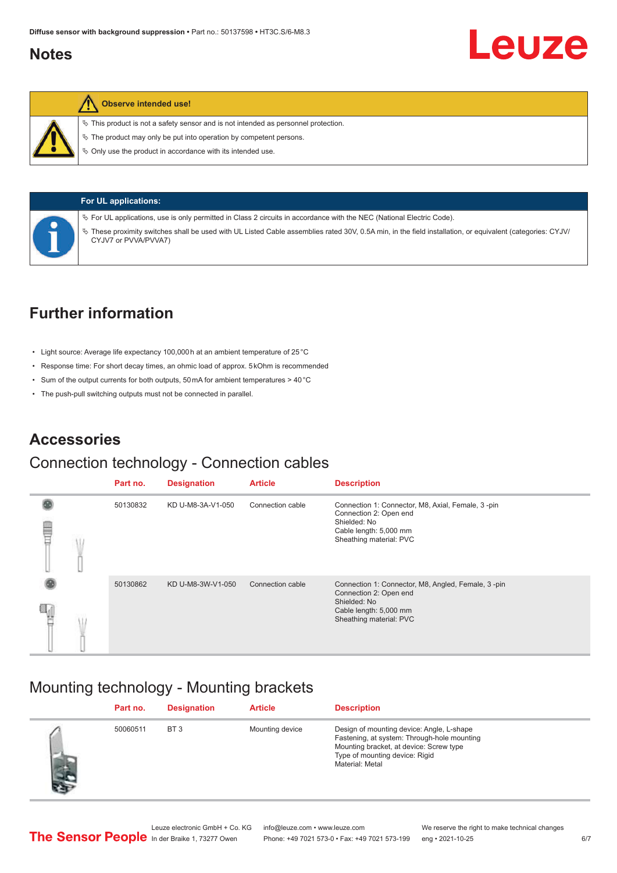## <span id="page-5-0"></span>**Notes**



### **Observe intended use!**

 $\%$  This product is not a safety sensor and is not intended as personnel protection.

 $\ddot{\phi}$  The product may only be put into operation by competent persons.

 $\%$  Only use the product in accordance with its intended use.



### **For UL applications:**

ª For UL applications, use is only permitted in Class 2 circuits in accordance with the NEC (National Electric Code).

ª These proximity switches shall be used with UL Listed Cable assemblies rated 30V, 0.5A min, in the field installation, or equivalent (categories: CYJV/ CYJV7 or PVVA/PVVA7)

# **Further information**

- Light source: Average life expectancy 100,000 h at an ambient temperature of 25 °C
- Response time: For short decay times, an ohmic load of approx. 5 kOhm is recommended
- Sum of the output currents for both outputs, 50 mA for ambient temperatures > 40 °C
- The push-pull switching outputs must not be connected in parallel.

## **Accessories**

## Connection technology - Connection cables

|   |  | Part no. | <b>Designation</b> | <b>Article</b>   | <b>Description</b>                                                                                                                                |
|---|--|----------|--------------------|------------------|---------------------------------------------------------------------------------------------------------------------------------------------------|
| Ē |  | 50130832 | KD U-M8-3A-V1-050  | Connection cable | Connection 1: Connector, M8, Axial, Female, 3-pin<br>Connection 2: Open end<br>Shielded: No<br>Cable length: 5,000 mm<br>Sheathing material: PVC  |
|   |  | 50130862 | KD U-M8-3W-V1-050  | Connection cable | Connection 1: Connector, M8, Angled, Female, 3-pin<br>Connection 2: Open end<br>Shielded: No<br>Cable length: 5,000 mm<br>Sheathing material: PVC |

## Mounting technology - Mounting brackets

|    | Part no. | <b>Designation</b> | <b>Article</b>  | <b>Description</b>                                                                                                                                                                       |
|----|----------|--------------------|-----------------|------------------------------------------------------------------------------------------------------------------------------------------------------------------------------------------|
| 46 | 50060511 | BT <sub>3</sub>    | Mounting device | Design of mounting device: Angle, L-shape<br>Fastening, at system: Through-hole mounting<br>Mounting bracket, at device: Screw type<br>Type of mounting device: Rigid<br>Material: Metal |

Leuze